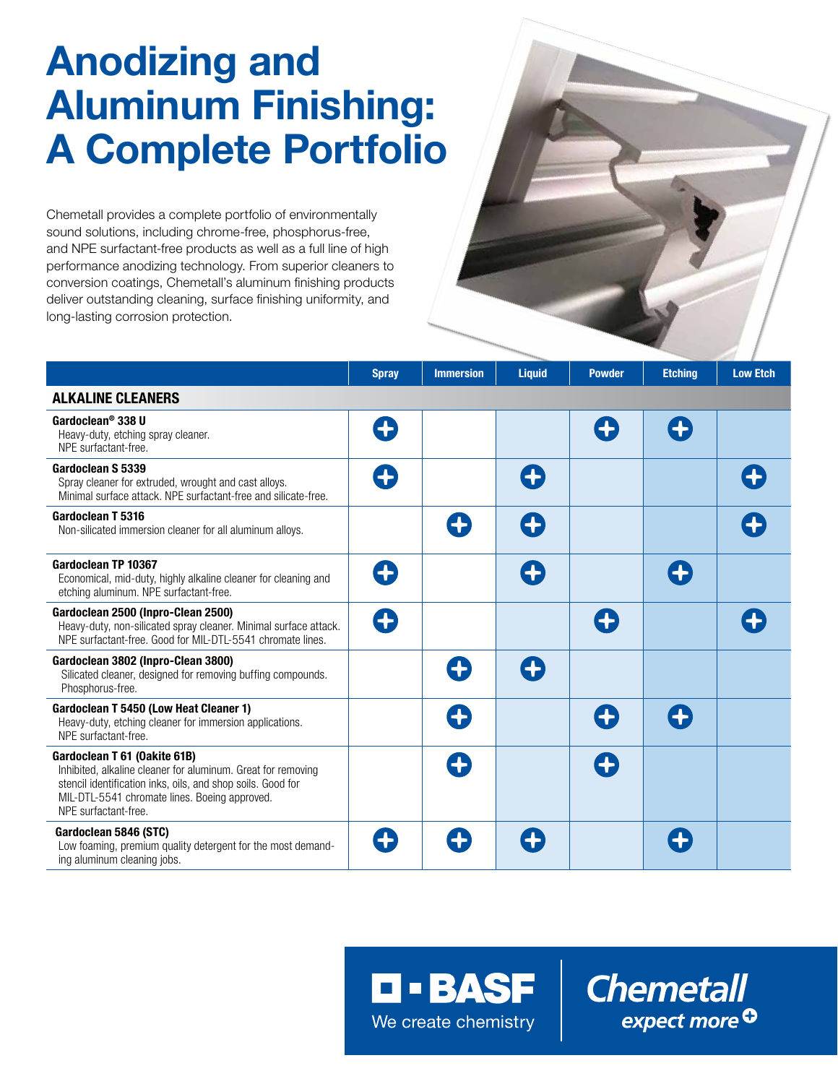# Anodizing and Aluminum Finishing: A Complete Portfolio

Chemetall provides a complete portfolio of environmentally sound solutions, including chrome-free, phosphorus-free, and NPE surfactant-free products as well as a full line of high performance anodizing technology. From superior cleaners to conversion coatings, Chemetall's aluminum finishing products deliver outstanding cleaning, surface finishing uniformity, and long-lasting corrosion protection.

|                                                                                                                                                                                                                                      | <b>Spray</b> | <b>Immersion</b> | <b>Liquid</b> | <b>Powder</b> | <b>Etching</b> | <b>Low Etch</b> |
|--------------------------------------------------------------------------------------------------------------------------------------------------------------------------------------------------------------------------------------|--------------|------------------|---------------|---------------|----------------|-----------------|
| <b>ALKALINE CLEANERS</b>                                                                                                                                                                                                             |              |                  |               |               |                |                 |
| Gardoclean <sup>®</sup> 338 U<br>Heavy-duty, etching spray cleaner.<br>NPE surfactant-free.                                                                                                                                          | 8            |                  |               | Œ             | Œ              |                 |
| Gardoclean S 5339<br>Spray cleaner for extruded, wrought and cast alloys.<br>Minimal surface attack. NPE surfactant-free and silicate-free.                                                                                          | 8            |                  | 6             |               |                |                 |
| Gardoclean T 5316<br>Non-silicated immersion cleaner for all aluminum alloys.                                                                                                                                                        |              |                  | O             |               |                |                 |
| Gardoclean TP 10367<br>Economical, mid-duty, highly alkaline cleaner for cleaning and<br>etching aluminum. NPE surfactant-free.                                                                                                      | O            |                  | Œ             |               | Ŧ              |                 |
| Gardoclean 2500 (Inpro-Clean 2500)<br>Heavy-duty, non-silicated spray cleaner. Minimal surface attack.<br>NPE surfactant-free. Good for MIL-DTL-5541 chromate lines.                                                                 | O            |                  |               | Œ             |                |                 |
| Gardoclean 3802 (Inpro-Clean 3800)<br>Silicated cleaner, designed for removing buffing compounds.<br>Phosphorus-free.                                                                                                                |              | 4                | 6             |               |                |                 |
| Gardoclean T 5450 (Low Heat Cleaner 1)<br>Heavy-duty, etching cleaner for immersion applications.<br>NPE surfactant-free.                                                                                                            |              |                  |               | Œ             | O              |                 |
| Gardoclean T 61 (Oakite 61B)<br>Inhibited, alkaline cleaner for aluminum. Great for removing<br>stencil identification inks, oils, and shop soils. Good for<br>MIL-DTL-5541 chromate lines. Boeing approved.<br>NPE surfactant-free. |              |                  |               | G             |                |                 |
| Gardoclean 5846 (STC)<br>Low foaming, premium quality detergent for the most demand-<br>ing aluminum cleaning jobs.                                                                                                                  | Ŧ            |                  |               |               |                |                 |

**O - BASF** We create chemistry

**Chemetall** expect more<sup>O</sup>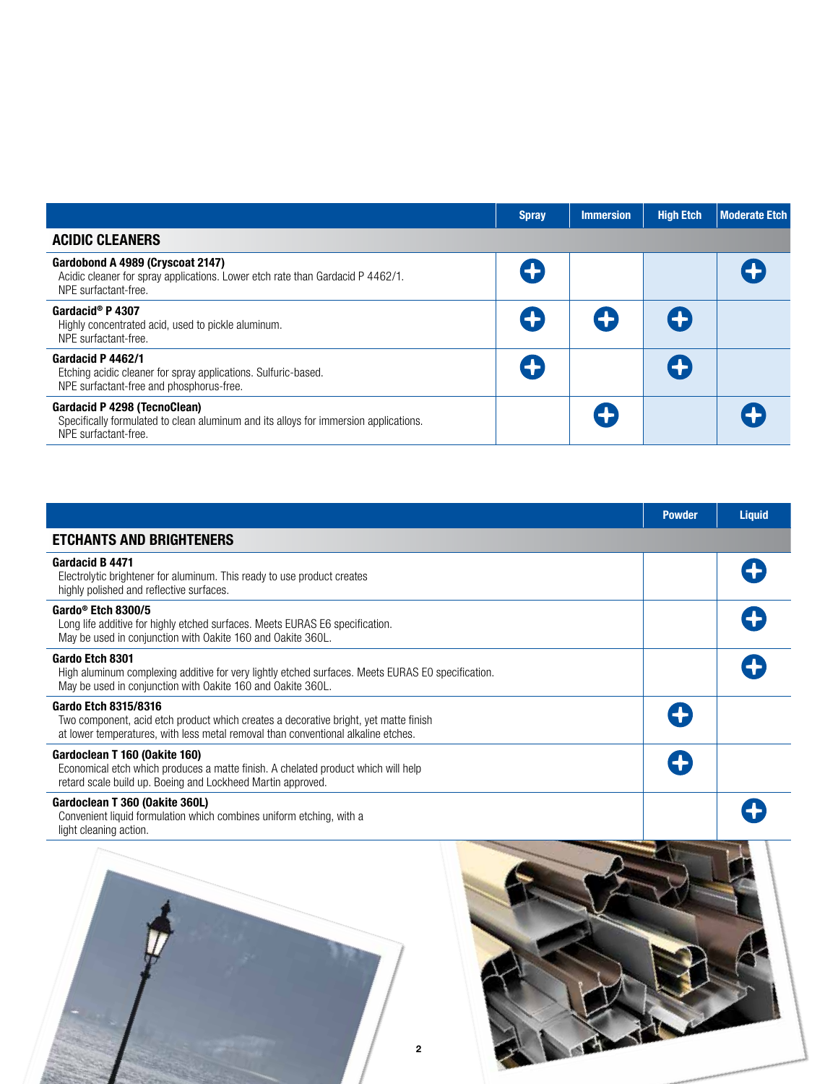|                                                                                                                                              | <b>Spray</b> | <b>Immersion</b> | <b>High Etch</b> | <b>Moderate Etch</b> |
|----------------------------------------------------------------------------------------------------------------------------------------------|--------------|------------------|------------------|----------------------|
| <b>ACIDIC CLEANERS</b>                                                                                                                       |              |                  |                  |                      |
| Gardobond A 4989 (Cryscoat 2147)<br>Acidic cleaner for spray applications. Lower etch rate than Gardacid P 4462/1.<br>NPE surfactant-free.   | G            |                  |                  |                      |
| Gardacid <sup>®</sup> P 4307<br>Highly concentrated acid, used to pickle aluminum.<br>NPE surfactant-free.                                   | G            | O                | Œ                |                      |
| Gardacid P 4462/1<br>Etching acidic cleaner for spray applications. Sulfuric-based.<br>NPE surfactant-free and phosphorus-free.              | G            |                  | Œ                |                      |
| Gardacid P 4298 (TecnoClean)<br>Specifically formulated to clean aluminum and its alloys for immersion applications.<br>NPE surfactant-free. |              | Ŧ                |                  |                      |

|                                                                                                                                                                                                   | <b>Powder</b> | <b>Liquid</b> |
|---------------------------------------------------------------------------------------------------------------------------------------------------------------------------------------------------|---------------|---------------|
| <b>ETCHANTS AND BRIGHTENERS</b>                                                                                                                                                                   |               |               |
| Gardacid B 4471<br>Electrolytic brightener for aluminum. This ready to use product creates<br>highly polished and reflective surfaces.                                                            |               |               |
| Gardo <sup>®</sup> Etch 8300/5<br>Long life additive for highly etched surfaces. Meets EURAS E6 specification.<br>May be used in conjunction with Oakite 160 and Oakite 360L.                     |               |               |
| Gardo Etch 8301<br>High aluminum complexing additive for very lightly etched surfaces. Meets EURAS EO specification.<br>May be used in conjunction with Oakite 160 and Oakite 360L.               |               |               |
| Gardo Etch 8315/8316<br>Two component, acid etch product which creates a decorative bright, yet matte finish<br>at lower temperatures, with less metal removal than conventional alkaline etches. |               |               |
| Gardoclean T 160 (Oakite 160)<br>Economical etch which produces a matte finish. A chelated product which will help<br>retard scale build up. Boeing and Lockheed Martin approved.                 |               |               |
| Gardoclean T 360 (Oakite 360L)<br>Convenient liquid formulation which combines uniform etching, with a<br>light cleaning action.                                                                  |               |               |



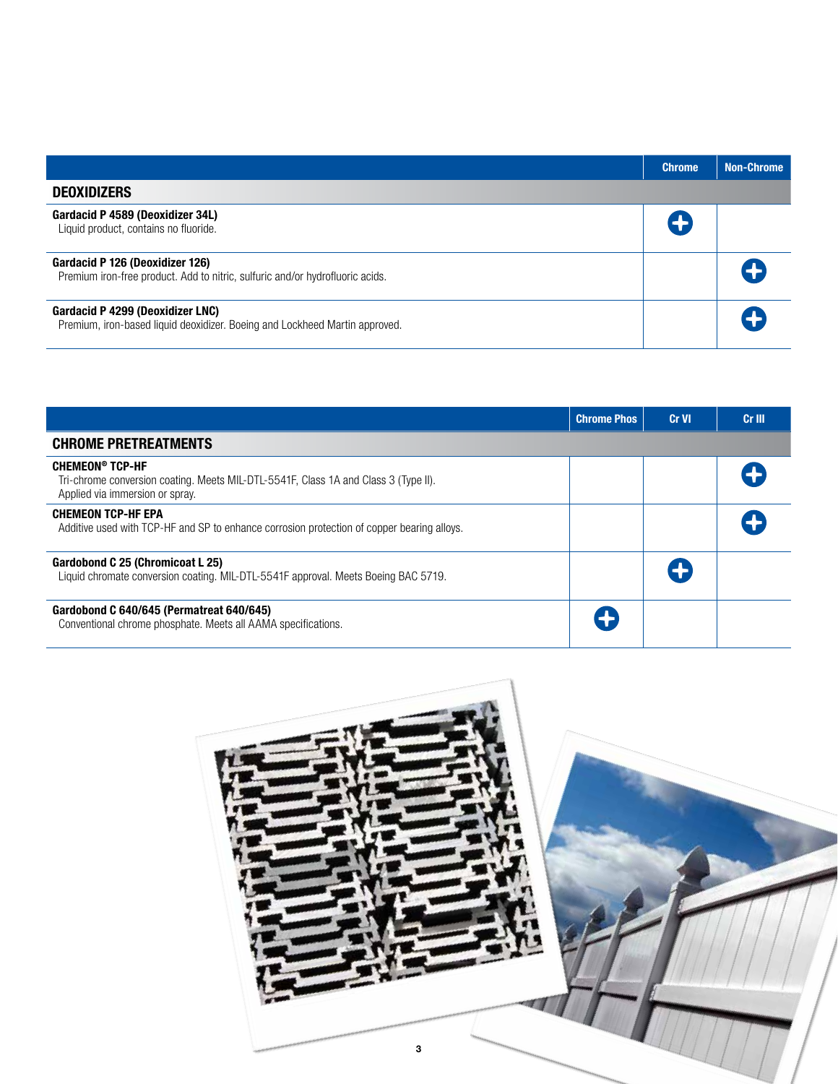|                                                                                                                  | <b>Chrome</b> | <b>Non-Chrome</b> |
|------------------------------------------------------------------------------------------------------------------|---------------|-------------------|
| <b>DEOXIDIZERS</b>                                                                                               |               |                   |
| Gardacid P 4589 (Deoxidizer 34L)<br>Liquid product, contains no fluoride.                                        |               |                   |
| Gardacid P 126 (Deoxidizer 126)<br>Premium iron-free product. Add to nitric, sulfuric and/or hydrofluoric acids. |               |                   |
| Gardacid P 4299 (Deoxidizer LNC)<br>Premium, iron-based liquid deoxidizer. Boeing and Lockheed Martin approved.  |               |                   |

|                                                                                                                                                  | <b>Chrome Phos</b> | Cr VI | Cr III |
|--------------------------------------------------------------------------------------------------------------------------------------------------|--------------------|-------|--------|
| <b>CHROME PRETREATMENTS</b>                                                                                                                      |                    |       |        |
| <b>CHEMEON® TCP-HF</b><br>Tri-chrome conversion coating. Meets MIL-DTL-5541F, Class 1A and Class 3 (Type II).<br>Applied via immersion or spray. |                    |       |        |
| <b>CHEMEON TCP-HF EPA</b><br>Additive used with TCP-HF and SP to enhance corrosion protection of copper bearing alloys.                          |                    |       |        |
| Gardobond C 25 (Chromicoat L 25)<br>Liquid chromate conversion coating. MIL-DTL-5541F approval. Meets Boeing BAC 5719.                           |                    |       |        |
| Gardobond C 640/645 (Permatreat 640/645)<br>Conventional chrome phosphate. Meets all AAMA specifications.                                        | Œ                  |       |        |

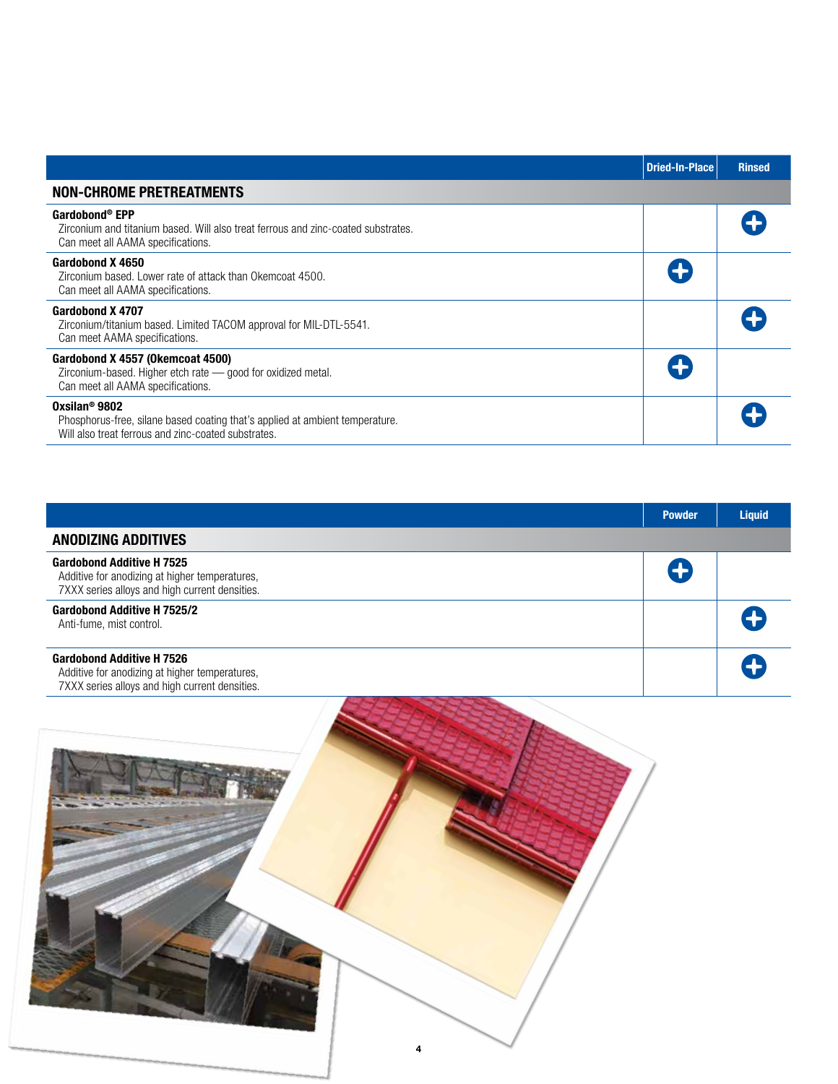|                                                                                                                                                                  | <b>Dried-In-Place</b> | <b>Rinsed</b> |
|------------------------------------------------------------------------------------------------------------------------------------------------------------------|-----------------------|---------------|
| <b>NON-CHROME PRETREATMENTS</b>                                                                                                                                  |                       |               |
| Gardobond® EPP<br>Zirconium and titanium based. Will also treat ferrous and zinc-coated substrates.<br>Can meet all AAMA specifications.                         |                       |               |
| Gardobond X 4650<br>Zirconium based. Lower rate of attack than Okemcoat 4500.<br>Can meet all AAMA specifications.                                               |                       |               |
| Gardobond X 4707<br>Zirconium/titanium based. Limited TACOM approval for MIL-DTL-5541.<br>Can meet AAMA specifications.                                          |                       |               |
| Gardobond X 4557 (Okemcoat 4500)<br>Zirconium-based. Higher etch rate - good for oxidized metal.<br>Can meet all AAMA specifications.                            |                       |               |
| Oxsilan <sup>®</sup> 9802<br>Phosphorus-free, silane based coating that's applied at ambient temperature.<br>Will also treat ferrous and zinc-coated substrates. |                       |               |

|                                                                                                                                      | <b>Powder</b> | <b>Liquid</b> |
|--------------------------------------------------------------------------------------------------------------------------------------|---------------|---------------|
| <b>ANODIZING ADDITIVES</b>                                                                                                           |               |               |
| <b>Gardobond Additive H 7525</b><br>Additive for anodizing at higher temperatures,<br>7XXX series alloys and high current densities. | 8             |               |
| <b>Gardobond Additive H 7525/2</b><br>Anti-fume, mist control.                                                                       |               |               |
| <b>Gardobond Additive H 7526</b><br>Additive for anodizing at higher temperatures,<br>7XXX series alloys and high current densities. |               |               |

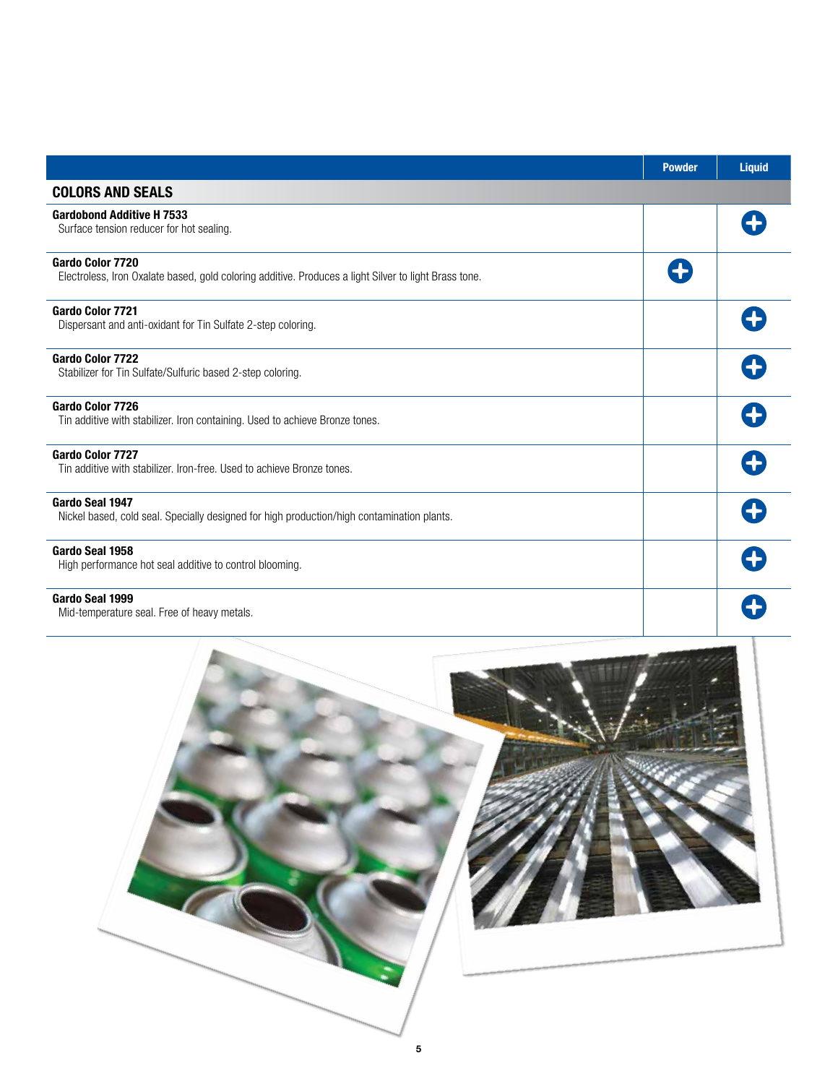|                                                                                                                                  | <b>Powder</b> | <b>Liquid</b> |
|----------------------------------------------------------------------------------------------------------------------------------|---------------|---------------|
| <b>COLORS AND SEALS</b>                                                                                                          |               |               |
| <b>Gardobond Additive H 7533</b><br>Surface tension reducer for hot sealing.                                                     |               |               |
| <b>Gardo Color 7720</b><br>Electroless, Iron Oxalate based, gold coloring additive. Produces a light Silver to light Brass tone. |               |               |
| <b>Gardo Color 7721</b><br>Dispersant and anti-oxidant for Tin Sulfate 2-step coloring.                                          |               |               |
| <b>Gardo Color 7722</b><br>Stabilizer for Tin Sulfate/Sulfuric based 2-step coloring.                                            |               |               |
| Gardo Color 7726<br>Tin additive with stabilizer. Iron containing. Used to achieve Bronze tones.                                 |               |               |
| Gardo Color 7727<br>Tin additive with stabilizer, Iron-free, Used to achieve Bronze tones.                                       |               |               |
| Gardo Seal 1947<br>Nickel based, cold seal. Specially designed for high production/high contamination plants.                    |               |               |
| Gardo Seal 1958<br>High performance hot seal additive to control blooming.                                                       |               |               |
| Gardo Seal 1999<br>Mid-temperature seal. Free of heavy metals.                                                                   |               |               |